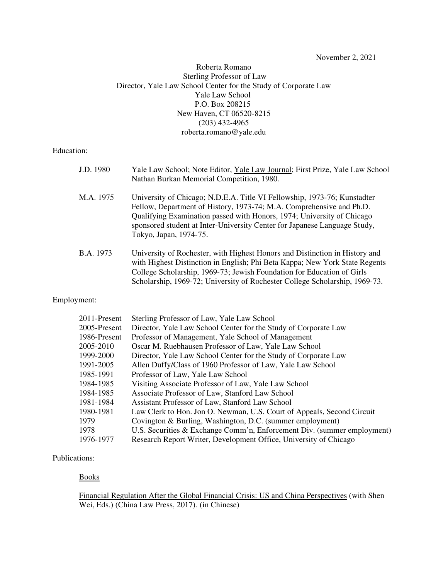November 2, 2021

# Roberta Romano Sterling Professor of Law Director, Yale Law School Center for the Study of Corporate Law Yale Law School P.O. Box 208215 New Haven, CT 06520-8215 (203) 432-4965 roberta.romano@yale.edu

Education:

| J.D. 1980 | Yale Law School; Note Editor, Yale Law Journal; First Prize, Yale Law School<br>Nathan Burkan Memorial Competition, 1980.                                                                                                                                                                                                         |
|-----------|-----------------------------------------------------------------------------------------------------------------------------------------------------------------------------------------------------------------------------------------------------------------------------------------------------------------------------------|
| M.A. 1975 | University of Chicago; N.D.E.A. Title VI Fellowship, 1973-76; Kunstadter<br>Fellow, Department of History, 1973-74; M.A. Comprehensive and Ph.D.<br>Qualifying Examination passed with Honors, 1974; University of Chicago<br>sponsored student at Inter-University Center for Japanese Language Study,<br>Tokyo, Japan, 1974-75. |
| B.A. 1973 | University of Rochester, with Highest Honors and Distinction in History and<br>with Highest Distinction in English; Phi Beta Kappa; New York State Regents<br>College Scholarship, 1969-73; Jewish Foundation for Education of Girls<br>Scholarship, 1969-72; University of Rochester College Scholarship, 1969-73.               |

## Employment:

| 2011-Present | Sterling Professor of Law, Yale Law School                              |
|--------------|-------------------------------------------------------------------------|
| 2005-Present | Director, Yale Law School Center for the Study of Corporate Law         |
| 1986-Present | Professor of Management, Yale School of Management                      |
| 2005-2010    | Oscar M. Ruebhausen Professor of Law, Yale Law School                   |
| 1999-2000    | Director, Yale Law School Center for the Study of Corporate Law         |
| 1991-2005    | Allen Duffy/Class of 1960 Professor of Law, Yale Law School             |
| 1985-1991    | Professor of Law, Yale Law School                                       |
| 1984-1985    | Visiting Associate Professor of Law, Yale Law School                    |
| 1984-1985    | Associate Professor of Law, Stanford Law School                         |
| 1981-1984    | Assistant Professor of Law, Stanford Law School                         |
| 1980-1981    | Law Clerk to Hon. Jon O. Newman, U.S. Court of Appeals, Second Circuit  |
| 1979         | Covington & Burling, Washington, D.C. (summer employment)               |
| 1978         | U.S. Securities & Exchange Comm'n, Enforcement Div. (summer employment) |
| 1976-1977    | Research Report Writer, Development Office, University of Chicago       |

## Publications:

Books

Financial Regulation After the Global Financial Crisis: US and China Perspectives (with Shen Wei, Eds.) (China Law Press, 2017). (in Chinese)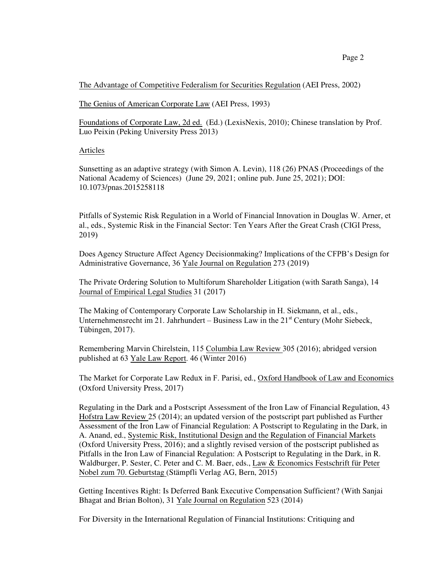The Genius of American Corporate Law (AEI Press, 1993)

Foundations of Corporate Law, 2d ed. (Ed.) (LexisNexis, 2010); Chinese translation by Prof. Luo Peixin (Peking University Press 2013)

# Articles

Sunsetting as an adaptive strategy (with Simon A. Levin), 118 (26) PNAS (Proceedings of the National Academy of Sciences) (June 29, 2021; online pub. June 25, 2021); DOI: 10.1073/pnas.2015258118

Pitfalls of Systemic Risk Regulation in a World of Financial Innovation in Douglas W. Arner, et al., eds., Systemic Risk in the Financial Sector: Ten Years After the Great Crash (CIGI Press, 2019)

Does Agency Structure Affect Agency Decisionmaking? Implications of the CFPB's Design for Administrative Governance, 36 Yale Journal on Regulation 273 (2019)

The Private Ordering Solution to Multiforum Shareholder Litigation (with Sarath Sanga), 14 Journal of Empirical Legal Studies 31 (2017)

The Making of Contemporary Corporate Law Scholarship in H. Siekmann, et al., eds., Unternehmensrecht im 21. Jahrhundert – Business Law in the  $21<sup>st</sup>$  Century (Mohr Siebeck, Tübingen, 2017).

Remembering Marvin Chirelstein, 115 Columbia Law Review 305 (2016); abridged version published at 63 Yale Law Report. 46 (Winter 2016)

The Market for Corporate Law Redux in F. Parisi, ed., Oxford Handbook of Law and Economics (Oxford University Press, 2017)

Regulating in the Dark and a Postscript Assessment of the Iron Law of Financial Regulation, 43 Hofstra Law Review 25 (2014); an updated version of the postscript part published as Further Assessment of the Iron Law of Financial Regulation: A Postscript to Regulating in the Dark, in A. Anand, ed., Systemic Risk, Institutional Design and the Regulation of Financial Markets (Oxford University Press, 2016); and a slightly revised version of the postscript published as Pitfalls in the Iron Law of Financial Regulation: A Postscript to Regulating in the Dark, in R. Waldburger, P. Sester, C. Peter and C. M. Baer, eds., Law & Economics Festschrift für Peter Nobel zum 70. Geburtstag (Stämpfli Verlag AG, Bern, 2015)

Getting Incentives Right: Is Deferred Bank Executive Compensation Sufficient? (With Sanjai Bhagat and Brian Bolton), 31 Yale Journal on Regulation 523 (2014)

For Diversity in the International Regulation of Financial Institutions: Critiquing and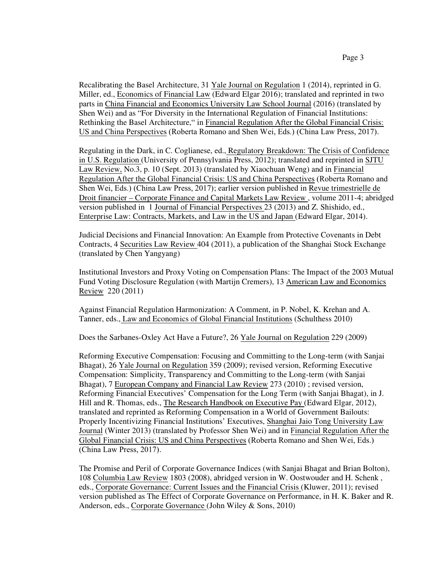Recalibrating the Basel Architecture, 31 Yale Journal on Regulation 1 (2014), reprinted in G. Miller, ed., Economics of Financial Law (Edward Elgar 2016); translated and reprinted in two parts in China Financial and Economics University Law School Journal (2016) (translated by Shen Wei) and as "For Diversity in the International Regulation of Financial Institutions: Rethinking the Basel Architecture," in Financial Regulation After the Global Financial Crisis: US and China Perspectives (Roberta Romano and Shen Wei, Eds.) (China Law Press, 2017).

Regulating in the Dark, in C. Coglianese, ed., Regulatory Breakdown: The Crisis of Confidence in U.S. Regulation (University of Pennsylvania Press, 2012); translated and reprinted in SJTU Law Review, No.3, p. 10 (Sept. 2013) (translated by Xiaochuan Weng) and in Financial Regulation After the Global Financial Crisis: US and China Perspectives (Roberta Romano and Shen Wei, Eds.) (China Law Press, 2017); earlier version published in Revue trimestrielle de Droit financier – Corporate Finance and Capital Markets Law Review , volume 2011-4; abridged version published in 1 Journal of Financial Perspectives 23 (2013) and Z. Shishido, ed., Enterprise Law: Contracts, Markets, and Law in the US and Japan (Edward Elgar, 2014).

Judicial Decisions and Financial Innovation: An Example from Protective Covenants in Debt Contracts, 4 Securities Law Review 404 (2011), a publication of the Shanghai Stock Exchange (translated by Chen Yangyang)

Institutional Investors and Proxy Voting on Compensation Plans: The Impact of the 2003 Mutual Fund Voting Disclosure Regulation (with Martijn Cremers), 13 American Law and Economics Review 220 (2011)

Against Financial Regulation Harmonization: A Comment, in P. Nobel, K. Krehan and A. Tanner, eds., Law and Economics of Global Financial Institutions (Schulthess 2010)

Does the Sarbanes-Oxley Act Have a Future?, 26 Yale Journal on Regulation 229 (2009)

Reforming Executive Compensation: Focusing and Committing to the Long-term (with Sanjai Bhagat), 26 Yale Journal on Regulation 359 (2009); revised version, Reforming Executive Compensation: Simplicity, Transparency and Committing to the Long-term (with Sanjai Bhagat), 7 European Company and Financial Law Review 273 (2010) ; revised version, Reforming Financial Executives' Compensation for the Long Term (with Sanjai Bhagat), in J. Hill and R. Thomas, eds., The Research Handbook on Executive Pay (Edward Elgar, 2012), translated and reprinted as Reforming Compensation in a World of Government Bailouts: Properly Incentivizing Financial Institutions' Executives, Shanghai Jaio Tong University Law Journal (Winter 2013) (translated by Professor Shen Wei) and in Financial Regulation After the Global Financial Crisis: US and China Perspectives (Roberta Romano and Shen Wei, Eds.) (China Law Press, 2017).

The Promise and Peril of Corporate Governance Indices (with Sanjai Bhagat and Brian Bolton), 108 Columbia Law Review 1803 (2008), abridged version in W. Oostwouder and H. Schenk , eds., Corporate Governance: Current Issues and the Financial Crisis (Kluwer, 2011); revised version published as The Effect of Corporate Governance on Performance, in H. K. Baker and R. Anderson, eds., Corporate Governance (John Wiley & Sons, 2010)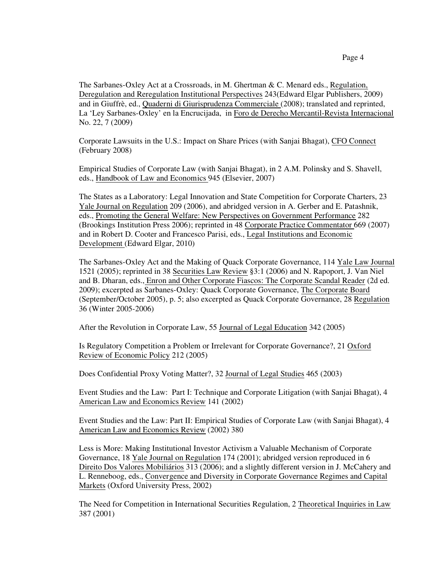The Sarbanes-Oxley Act at a Crossroads, in M. Ghertman & C. Menard eds., Regulation, Deregulation and Reregulation Institutional Perspectives 243(Edward Elgar Publishers, 2009) and in Giuffrè, ed., Quaderni di Giurisprudenza Commerciale (2008); translated and reprinted, La 'Ley Sarbanes-Oxley' en la Encrucijada, in Foro de Derecho Mercantil-Revista Internacional No. 22, 7 (2009)

Corporate Lawsuits in the U.S.: Impact on Share Prices (with Sanjai Bhagat), CFO Connect (February 2008)

Empirical Studies of Corporate Law (with Sanjai Bhagat), in 2 A.M. Polinsky and S. Shavell, eds., Handbook of Law and Economics 945 (Elsevier, 2007)

The States as a Laboratory: Legal Innovation and State Competition for Corporate Charters, 23 Yale Journal on Regulation 209 (2006), and abridged version in A. Gerber and E. Patashnik, eds., Promoting the General Welfare: New Perspectives on Government Performance 282 (Brookings Institution Press 2006); reprinted in 48 Corporate Practice Commentator 669 (2007) and in Robert D. Cooter and Francesco Parisi, eds., Legal Institutions and Economic Development (Edward Elgar, 2010)

The Sarbanes-Oxley Act and the Making of Quack Corporate Governance, 114 Yale Law Journal 1521 (2005); reprinted in 38 Securities Law Review §3:1 (2006) and N. Rapoport, J. Van Niel and B. Dharan, eds., Enron and Other Corporate Fiascos: The Corporate Scandal Reader (2d ed. 2009); excerpted as Sarbanes-Oxley: Quack Corporate Governance, The Corporate Board (September/October 2005), p. 5; also excerpted as Quack Corporate Governance, 28 Regulation 36 (Winter 2005-2006)

After the Revolution in Corporate Law, 55 Journal of Legal Education 342 (2005)

Is Regulatory Competition a Problem or Irrelevant for Corporate Governance?, 21 Oxford Review of Economic Policy 212 (2005)

Does Confidential Proxy Voting Matter?, 32 Journal of Legal Studies 465 (2003)

Event Studies and the Law: Part I: Technique and Corporate Litigation (with Sanjai Bhagat), 4 American Law and Economics Review 141 (2002)

Event Studies and the Law: Part II: Empirical Studies of Corporate Law (with Sanjai Bhagat), 4 American Law and Economics Review (2002) 380

Less is More: Making Institutional Investor Activism a Valuable Mechanism of Corporate Governance, 18 Yale Journal on Regulation 174 (2001); abridged version reproduced in 6 Direito Dos Valores Mobiliários 313 (2006); and a slightly different version in J. McCahery and L. Renneboog, eds., Convergence and Diversity in Corporate Governance Regimes and Capital Markets (Oxford University Press, 2002)

The Need for Competition in International Securities Regulation, 2 Theoretical Inquiries in Law 387 (2001)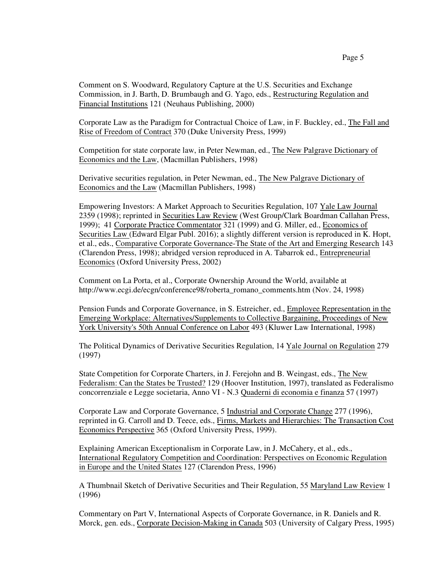Comment on S. Woodward, Regulatory Capture at the U.S. Securities and Exchange Commission, in J. Barth, D. Brumbaugh and G. Yago, eds., Restructuring Regulation and Financial Institutions 121 (Neuhaus Publishing, 2000)

Corporate Law as the Paradigm for Contractual Choice of Law, in F. Buckley, ed., The Fall and Rise of Freedom of Contract 370 (Duke University Press, 1999)

Competition for state corporate law, in Peter Newman, ed., The New Palgrave Dictionary of Economics and the Law, (Macmillan Publishers, 1998)

Derivative securities regulation, in Peter Newman, ed., The New Palgrave Dictionary of Economics and the Law (Macmillan Publishers, 1998)

Empowering Investors: A Market Approach to Securities Regulation, 107 Yale Law Journal 2359 (1998); reprinted in Securities Law Review (West Group/Clark Boardman Callahan Press, 1999); 41 Corporate Practice Commentator 321 (1999) and G. Miller, ed., Economics of Securities Law (Edward Elgar Publ. 2016); a slightly different version is reproduced in K. Hopt, et al., eds., Comparative Corporate Governance-The State of the Art and Emerging Research 143 (Clarendon Press, 1998); abridged version reproduced in A. Tabarrok ed., Entrepreneurial Economics (Oxford University Press, 2002)

Comment on La Porta, et al., Corporate Ownership Around the World, available at http://www.ecgi.de/ecgn/conference98/roberta\_romano\_comments.htm (Nov. 24, 1998)

Pension Funds and Corporate Governance, in S. Estreicher, ed., Employee Representation in the Emerging Workplace: Alternatives/Supplements to Collective Bargaining, Proceedings of New York University's 50th Annual Conference on Labor 493 (Kluwer Law International, 1998)

The Political Dynamics of Derivative Securities Regulation, 14 Yale Journal on Regulation 279 (1997)

State Competition for Corporate Charters, in J. Ferejohn and B. Weingast, eds., The New Federalism: Can the States be Trusted? 129 (Hoover Institution, 1997), translated as Federalismo concorrenziale e Legge societaria, Anno VI - N.3 Quaderni di economia e finanza 57 (1997)

Corporate Law and Corporate Governance, 5 Industrial and Corporate Change 277 (1996), reprinted in G. Carroll and D. Teece, eds., Firms, Markets and Hierarchies: The Transaction Cost Economics Perspective 365 (Oxford University Press, 1999).

Explaining American Exceptionalism in Corporate Law, in J. McCahery, et al., eds., International Regulatory Competition and Coordination: Perspectives on Economic Regulation in Europe and the United States 127 (Clarendon Press, 1996)

A Thumbnail Sketch of Derivative Securities and Their Regulation, 55 Maryland Law Review 1 (1996)

Commentary on Part V, International Aspects of Corporate Governance, in R. Daniels and R. Morck, gen. eds., Corporate Decision-Making in Canada 503 (University of Calgary Press, 1995)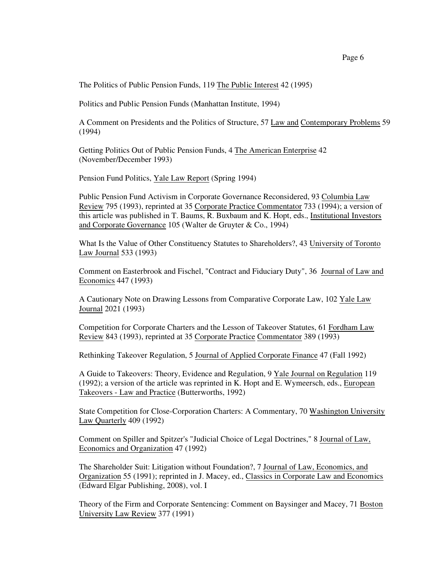The Politics of Public Pension Funds, 119 The Public Interest 42 (1995)

Politics and Public Pension Funds (Manhattan Institute, 1994)

A Comment on Presidents and the Politics of Structure, 57 Law and Contemporary Problems 59 (1994)

Getting Politics Out of Public Pension Funds, 4 The American Enterprise 42 (November/December 1993)

Pension Fund Politics, Yale Law Report (Spring 1994)

Public Pension Fund Activism in Corporate Governance Reconsidered, 93 Columbia Law Review 795 (1993), reprinted at 35 Corporate Practice Commentator 733 (1994); a version of this article was published in T. Baums, R. Buxbaum and K. Hopt, eds., Institutional Investors and Corporate Governance 105 (Walter de Gruyter & Co., 1994)

What Is the Value of Other Constituency Statutes to Shareholders?, 43 University of Toronto Law Journal 533 (1993)

Comment on Easterbrook and Fischel, "Contract and Fiduciary Duty", 36 Journal of Law and Economics 447 (1993)

A Cautionary Note on Drawing Lessons from Comparative Corporate Law, 102 Yale Law Journal 2021 (1993)

Competition for Corporate Charters and the Lesson of Takeover Statutes, 61 Fordham Law Review 843 (1993), reprinted at 35 Corporate Practice Commentator 389 (1993)

Rethinking Takeover Regulation, 5 Journal of Applied Corporate Finance 47 (Fall 1992)

A Guide to Takeovers: Theory, Evidence and Regulation, 9 Yale Journal on Regulation 119 (1992); a version of the article was reprinted in K. Hopt and E. Wymeersch, eds., European Takeovers - Law and Practice (Butterworths, 1992)

State Competition for Close-Corporation Charters: A Commentary, 70 Washington University Law Quarterly 409 (1992)

Comment on Spiller and Spitzer's "Judicial Choice of Legal Doctrines," 8 Journal of Law, Economics and Organization 47 (1992)

The Shareholder Suit: Litigation without Foundation?, 7 Journal of Law, Economics, and Organization 55 (1991); reprinted in J. Macey, ed., Classics in Corporate Law and Economics (Edward Elgar Publishing, 2008), vol. I

Theory of the Firm and Corporate Sentencing: Comment on Baysinger and Macey, 71 Boston University Law Review 377 (1991)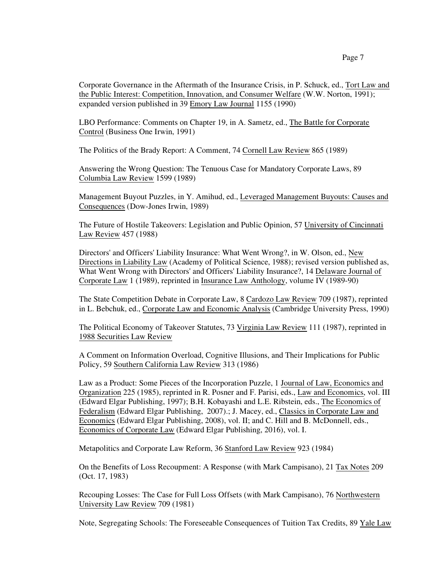Corporate Governance in the Aftermath of the Insurance Crisis, in P. Schuck, ed., Tort Law and the Public Interest: Competition, Innovation, and Consumer Welfare (W.W. Norton, 1991); expanded version published in 39 Emory Law Journal 1155 (1990)

LBO Performance: Comments on Chapter 19, in A. Sametz, ed., The Battle for Corporate Control (Business One Irwin, 1991)

The Politics of the Brady Report: A Comment, 74 Cornell Law Review 865 (1989)

Answering the Wrong Question: The Tenuous Case for Mandatory Corporate Laws, 89 Columbia Law Review 1599 (1989)

Management Buyout Puzzles, in Y. Amihud, ed., Leveraged Management Buyouts: Causes and Consequences (Dow-Jones Irwin, 1989)

The Future of Hostile Takeovers: Legislation and Public Opinion, 57 University of Cincinnati Law Review 457 (1988)

Directors' and Officers' Liability Insurance: What Went Wrong?, in W. Olson, ed., New Directions in Liability Law (Academy of Political Science, 1988); revised version published as, What Went Wrong with Directors' and Officers' Liability Insurance?, 14 Delaware Journal of Corporate Law 1 (1989), reprinted in Insurance Law Anthology, volume IV (1989-90)

The State Competition Debate in Corporate Law, 8 Cardozo Law Review 709 (1987), reprinted in L. Bebchuk, ed., Corporate Law and Economic Analysis (Cambridge University Press, 1990)

The Political Economy of Takeover Statutes, 73 Virginia Law Review 111 (1987), reprinted in 1988 Securities Law Review

A Comment on Information Overload, Cognitive Illusions, and Their Implications for Public Policy, 59 Southern California Law Review 313 (1986)

Law as a Product: Some Pieces of the Incorporation Puzzle, 1 Journal of Law, Economics and Organization 225 (1985), reprinted in R. Posner and F. Parisi, eds., Law and Economics, vol. III (Edward Elgar Publishing, 1997); B.H. Kobayashi and L.E. Ribstein, eds., The Economics of Federalism (Edward Elgar Publishing, 2007).; J. Macey, ed., Classics in Corporate Law and Economics (Edward Elgar Publishing, 2008), vol. II; and C. Hill and B. McDonnell, eds., Economics of Corporate Law (Edward Elgar Publishing, 2016), vol. I.

Metapolitics and Corporate Law Reform, 36 Stanford Law Review 923 (1984)

On the Benefits of Loss Recoupment: A Response (with Mark Campisano), 21 Tax Notes 209 (Oct. 17, 1983)

Recouping Losses: The Case for Full Loss Offsets (with Mark Campisano), 76 Northwestern University Law Review 709 (1981)

Note, Segregating Schools: The Foreseeable Consequences of Tuition Tax Credits, 89 Yale Law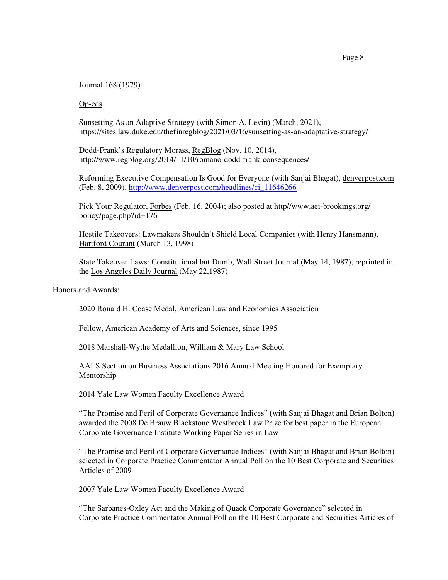Journal 168 (1979)

Op-eds

Sunsetting As an Adaptive Strategy (with Simon A. Levin) (March, 2021), https://sites.law.duke.edu/thefinregblog/2021/03/16/sunsetting-as-an-adaptative-strategy/

Dodd-Frank's Regulatory Morass, RegBlog (Nov. 10, 2014), http://www.regblog.org/2014/11/10/romano-dodd-frank-consequences/

Reforming Executive Compensation Is Good for Everyone (with Sanjai Bhagat), denverpost.com (Feb. 8, 2009), [http://www.denverpost.com/headlines/ci\\_11646266](http://www.denverpost.com/headlines/ci_11646266)

Pick Your Regulator, Forbes (Feb. 16, 2004); also posted at http//www.aei-brookings.org/ policy/page.php?id=176

Hostile Takeovers: Lawmakers Shouldn't Shield Local Companies (with Henry Hansmann), Hartford Courant (March 13, 1998)

State Takeover Laws: Constitutional but Dumb, Wall Street Journal (May 14, 1987), reprinted in the Los Angeles Daily Journal (May 22,1987)

Honors and Awards:

2020 Ronald H. Coase Medal, American Law and Economics Association

Fellow, American Academy of Arts and Sciences, since 1995

2018 Marshall-Wythe Medallion, William & Mary Law School

AALS Section on Business Associations 2016 Annual Meeting Honored for Exemplary Mentorship

2014 Yale Law Women Faculty Excellence Award

"The Promise and Peril of Corporate Governance Indices" (with Sanjai Bhagat and Brian Bolton) awarded the 2008 De Brauw Blackstone Westbroek Law Prize for best paper in the European Corporate Governance Institute Working Paper Series in Law

"The Promise and Peril of Corporate Governance Indices" (with Sanjai Bhagat and Brian Bolton) selected in Corporate Practice Commentator Annual Poll on the 10 Best Corporate and Securities Articles of 2009

2007 Yale Law Women Faculty Excellence Award

"The Sarbanes-Oxley Act and the Making of Quack Corporate Governance" selected in Corporate Practice Commentator Annual Poll on the 10 Best Corporate and Securities Articles of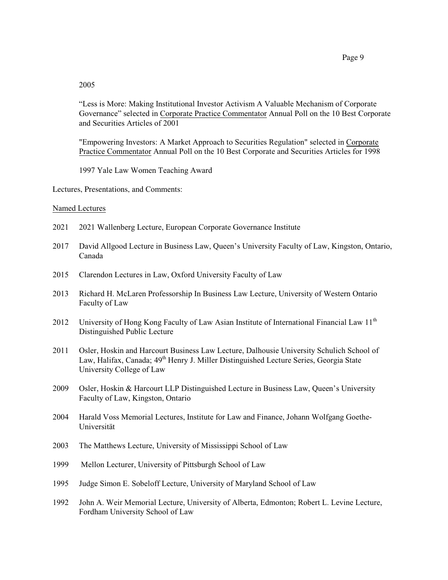## 2005

"Less is More: Making Institutional Investor Activism A Valuable Mechanism of Corporate Governance" selected in Corporate Practice Commentator Annual Poll on the 10 Best Corporate and Securities Articles of 2001

"Empowering Investors: A Market Approach to Securities Regulation" selected in Corporate Practice Commentator Annual Poll on the 10 Best Corporate and Securities Articles for 1998

1997 Yale Law Women Teaching Award

Lectures, Presentations, and Comments:

#### Named Lectures

- 2021 2021 Wallenberg Lecture, European Corporate Governance Institute
- 2017 David Allgood Lecture in Business Law, Queen's University Faculty of Law, Kingston, Ontario, Canada
- 2015 Clarendon Lectures in Law, Oxford University Faculty of Law
- 2013 Richard H. McLaren Professorship In Business Law Lecture, University of Western Ontario Faculty of Law
- 2012 University of Hong Kong Faculty of Law Asian Institute of International Financial Law 11<sup>th</sup> Distinguished Public Lecture
- 2011 Osler, Hoskin and Harcourt Business Law Lecture, Dalhousie University Schulich School of Law, Halifax, Canada; 49<sup>th</sup> Henry J. Miller Distinguished Lecture Series, Georgia State University College of Law
- 2009 Osler, Hoskin & Harcourt LLP Distinguished Lecture in Business Law, Queen's University Faculty of Law, Kingston, Ontario
- 2004 Harald Voss Memorial Lectures, Institute for Law and Finance, Johann Wolfgang Goethe-Universität
- 2003 The Matthews Lecture, University of Mississippi School of Law
- 1999 Mellon Lecturer, University of Pittsburgh School of Law
- 1995 Judge Simon E. Sobeloff Lecture, University of Maryland School of Law
- 1992 John A. Weir Memorial Lecture, University of Alberta, Edmonton; Robert L. Levine Lecture, Fordham University School of Law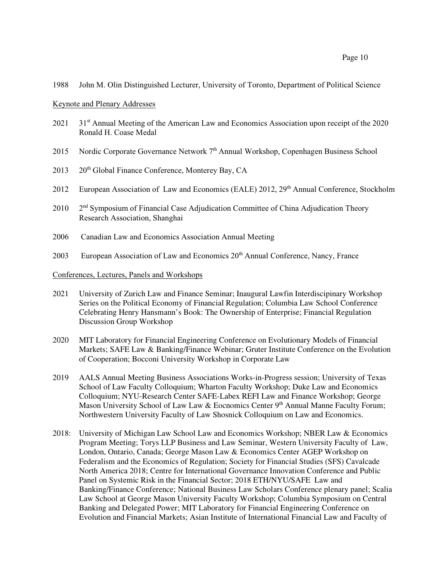1988 John M. Olin Distinguished Lecturer, University of Toronto, Department of Political Science

#### Keynote and Plenary Addresses

- $2021$  Annual Meeting of the American Law and Economics Association upon receipt of the 2020 Ronald H. Coase Medal
- 2015 Nordic Corporate Governance Network 7<sup>th</sup> Annual Workshop, Copenhagen Business School
- 2013 20<sup>th</sup> Global Finance Conference, Monterey Bay, CA
- 2012 European Association of Law and Economics (EALE) 2012, 29<sup>th</sup> Annual Conference, Stockholm
- 2010 2 <sup>nd</sup> Symposium of Financial Case Adjudication Committee of China Adjudication Theory Research Association, Shanghai
- 2006 Canadian Law and Economics Association Annual Meeting
- 2003 European Association of Law and Economics 20<sup>th</sup> Annual Conference, Nancy, France

### Conferences, Lectures, Panels and Workshops

- 2021 University of Zurich Law and Finance Seminar; Inaugural Lawfin Interdiscipinary Workshop Series on the Political Economy of Financial Regulation; Columbia Law School Conference Celebrating Henry Hansmann's Book: The Ownership of Enterprise; Financial Regulation Discussion Group Workshop
- 2020 MIT Laboratory for Financial Engineering Conference on Evolutionary Models of Financial Markets; SAFE Law & Banking/Finance Webinar; Gruter Institute Conference on the Evolution of Cooperation; Bocconi University Workshop in Corporate Law
- 2019 AALS Annual Meeting Business Associations Works-in-Progress session; University of Texas School of Law Faculty Colloquium; Wharton Faculty Workshop; Duke Law and Economics Colloquium; NYU-Research Center SAFE-Labex REFI Law and Finance Workshop; George Mason University School of Law Law & Eocnomics Center 9<sup>th</sup> Annual Manne Faculty Forum; Northwestern University Faculty of Law Shosnick Colloquium on Law and Economics.
- 2018: University of Michigan Law School Law and Economics Workshop; NBER Law & Economics Program Meeting; Torys LLP Business and Law Seminar, Western University Faculty of Law, London, Ontario, Canada; George Mason Law & Economics Center AGEP Workshop on Federalism and the Economics of Regulation; Society for Financial Studies (SFS) Cavalcade North America 2018; Centre for International Governance Innovation Conference and Public Panel on Systemic Risk in the Financial Sector; 2018 ETH/NYU/SAFE Law and Banking/Finance Conference; National Business Law Scholars Conference plenary panel; Scalia Law School at George Mason University Faculty Workshop; Columbia Symposium on Central Banking and Delegated Power; MIT Laboratory for Financial Engineering Conference on Evolution and Financial Markets; Asian Institute of International Financial Law and Faculty of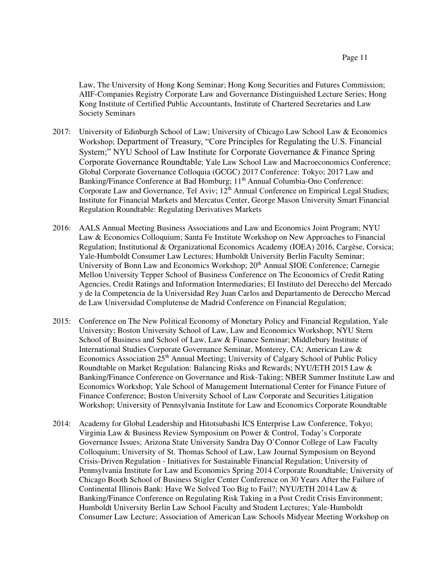Law, The University of Hong Kong Seminar; Hong Kong Securities and Futures Commission; AIIF-Companies Registry Corporate Law and Governance Distinguished Lecture Series; Hong Kong Institute of Certified Public Accountants, Institute of Chartered Secretaries and Law Society Seminars

- 2017: University of Edinburgh School of Law; University of Chicago Law School Law & Economics Workshop; Department of Treasury, "Core Principles for Regulating the U.S. Financial System;" NYU School of Law Institute for Corporate Governance & Finance Spring Corporate Governance Roundtable; Yale Law School Law and Macroeconomics Conference; Global Corporate Governance Colloquia (GCGC) 2017 Conference: Tokyo; 2017 Law and Banking/Finance Conference at Bad Homburg; 11<sup>th</sup> Annual Columbia-Ono Conference: Corporate Law and Governance, Tel Aviv;  $12^{th}$  Annual Conference on Empirical Legal Studies; Institute for Financial Markets and Mercatus Center, George Mason University Smart Financial Regulation Roundtable: Regulating Derivatives Markets
- 2016: AALS Annual Meeting Business Associations and Law and Economics Joint Program; NYU Law & Economics Colloquium; Santa Fe Institute Workshop on New Approaches to Financial Regulation; Institutional & Organizational Economics Academy (IOEA) 2016, Cargèse, Corsica; Yale-Humboldt Consumer Law Lectures; Humboldt University Berlin Faculty Seminar; University of Bonn Law and Economics Workshop; 20<sup>th</sup> Annual SIOE Conference; Carnegie Mellon University Tepper School of Business Conference on The Economics of Credit Rating Agencies, Credit Ratings and Information Intermediaries; El Instituto del Dereccho del Mercado y de la Competencia de la Universidad Rey Juan Carlos and Departamento de Dereccho Mercad de Law Universidad Complutense de Madrid Conference on Financial Regulation;
- 2015: Conference on The New Political Economy of Monetary Policy and Financial Regulation, Yale University; Boston University School of Law, Law and Economics Workshop; NYU Stern School of Business and School of Law, Law & Finance Seminar; Middlebury Institute of International Studies Corporate Governance Seminar, Monterey, CA; American Law & Economics Association 25<sup>th</sup> Annual Meeting; University of Calgary School of Public Policy Roundtable on Market Regulation: Balancing Risks and Rewards; NYU/ETH 2015 Law & Banking/Finance Conference on Governance and Risk-Taking; NBER Summer Institute Law and Economics Workshop; Yale School of Management International Center for Finance Future of Finance Conference; Boston University School of Law Corporate and Securities Litigation Workshop; University of Pennsylvania Institute for Law and Economics Corporate Roundtable
- 2014: Academy for Global Leadership and Hitotsubashi ICS Enterprise Law Conference, Tokyo; Virginia Law & Business Review Symposium on Power & Control, Today's Corporate Governance Issues; Arizona State University Sandra Day O'Connor College of Law Faculty Colloquium; University of St. Thomas School of Law, Law Journal Symposium on Beyond Crisis-Driven Regulation - Initiatives for Sustainable Financial Regulation; University of Pennsylvania Institute for Law and Economics Spring 2014 Corporate Roundtable; University of Chicago Booth School of Business Stigler Center Conference on 30 Years After the Failure of Continental Illinois Bank: Have We Solved Too Big to Fail?; NYU/ETH 2014 Law & Banking/Finance Conference on Regulating Risk Taking in a Post Credit Crisis Environment; Humboldt University Berlin Law School Faculty and Student Lectures; Yale-Humboldt Consumer Law Lecture; Association of American Law Schools Midyear Meeting Workshop on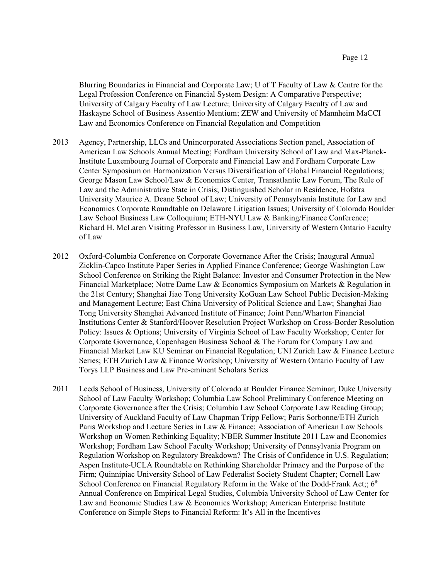Blurring Boundaries in Financial and Corporate Law; U of T Faculty of Law & Centre for the Legal Profession Conference on Financial System Design: A Comparative Perspective; University of Calgary Faculty of Law Lecture; University of Calgary Faculty of Law and Haskayne School of Business Assentio Mentium; ZEW and University of Mannheim MaCCI Law and Economics Conference on Financial Regulation and Competition

- 2013 Agency, Partnership, LLCs and Unincorporated Associations Section panel, Association of American Law Schools Annual Meeting; Fordham University School of Law and Max-Planck-Institute Luxembourg Journal of Corporate and Financial Law and Fordham Corporate Law Center Symposium on Harmonization Versus Diversification of Global Financial Regulations; George Mason Law School/Law & Economics Center, Transatlantic Law Forum, The Rule of Law and the Administrative State in Crisis; Distinguished Scholar in Residence, Hofstra University Maurice A. Deane School of Law; University of Pennsylvania Institute for Law and Economics Corporate Roundtable on Delaware Litigation Issues; University of Colorado Boulder Law School Business Law Colloquium; ETH-NYU Law & Banking/Finance Conference; Richard H. McLaren Visiting Professor in Business Law, University of Western Ontario Faculty of Law
- 2012 Oxford-Columbia Conference on Corporate Governance After the Crisis; Inaugural Annual Zicklin-Capco Institute Paper Series in Applied Finance Conference; George Washington Law School Conference on Striking the Right Balance: Investor and Consumer Protection in the New Financial Marketplace; Notre Dame Law & Economics Symposium on Markets & Regulation in the 21st Century; Shanghai Jiao Tong University KoGuan Law School Public Decision-Making and Management Lecture; East China University of Political Science and Law; Shanghai Jiao Tong University Shanghai Advanced Institute of Finance; Joint Penn/Wharton Financial Institutions Center & Stanford/Hoover Resolution Project Workshop on Cross-Border Resolution Policy: Issues & Options; University of Virginia School of Law Faculty Workshop; Center for Corporate Governance, Copenhagen Business School & The Forum for Company Law and Financial Market Law KU Seminar on Financial Regulation; UNI Zurich Law & Finance Lecture Series; ETH Zurich Law & Finance Workshop; University of Western Ontario Faculty of Law Torys LLP Business and Law Pre-eminent Scholars Series
- 2011 Leeds School of Business, University of Colorado at Boulder Finance Seminar; Duke University School of Law Faculty Workshop; Columbia Law School Preliminary Conference Meeting on Corporate Governance after the Crisis; Columbia Law School Corporate Law Reading Group; University of Auckland Faculty of Law Chapman Tripp Fellow; Paris Sorbonne/ETH Zurich Paris Workshop and Lecture Series in Law & Finance; Association of American Law Schools Workshop on Women Rethinking Equality; NBER Summer Institute 2011 Law and Economics Workshop; Fordham Law School Faculty Workshop; University of Pennsylvania Program on Regulation Workshop on Regulatory Breakdown? The Crisis of Confidence in U.S. Regulation; Aspen Institute-UCLA Roundtable on Rethinking Shareholder Primacy and the Purpose of the Firm; Quinnipiac University School of Law Federalist Society Student Chapter; Cornell Law School Conference on Financial Regulatory Reform in the Wake of the Dodd-Frank Act;;  $6<sup>th</sup>$ Annual Conference on Empirical Legal Studies, Columbia University School of Law Center for Law and Economic Studies Law & Economics Workshop; American Enterprise Institute Conference on Simple Steps to Financial Reform: It's All in the Incentives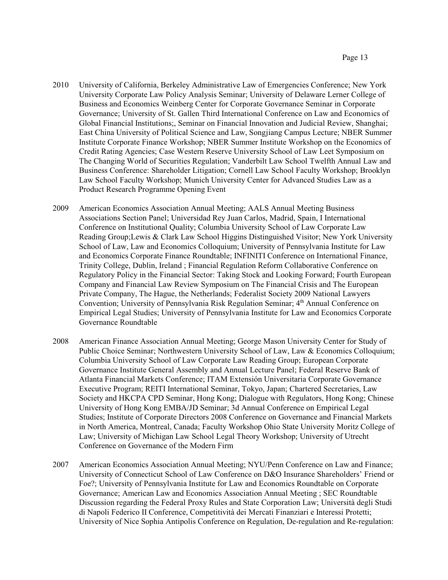- 2010 University of California, Berkeley Administrative Law of Emergencies Conference; New York University Corporate Law Policy Analysis Seminar; University of Delaware Lerner College of Business and Economics Weinberg Center for Corporate Governance Seminar in Corporate Governance; University of St. Gallen Third International Conference on Law and Economics of Global Financial Institutions;, Seminar on Financial Innovation and Judicial Review, Shanghai; East China University of Political Science and Law, Songjiang Campus Lecture; NBER Summer Institute Corporate Finance Workshop; NBER Summer Institute Workshop on the Economics of Credit Rating Agencies; Case Western Reserve University School of Law Leet Symposium on The Changing World of Securities Regulation; Vanderbilt Law School Twelfth Annual Law and Business Conference: Shareholder Litigation; Cornell Law School Faculty Workshop; Brooklyn Law School Faculty Workshop; Munich University Center for Advanced Studies Law as a Product Research Programme Opening Event
- 2009 American Economics Association Annual Meeting; AALS Annual Meeting Business Associations Section Panel; Universidad Rey Juan Carlos, Madrid, Spain, I International Conference on Institutional Quality; Columbia University School of Law Corporate Law Reading Group;Lewis & Clark Law School Higgins Distinguished Visitor; New York University School of Law, Law and Economics Colloquium; University of Pennsylvania Institute for Law and Economics Corporate Finance Roundtable; INFINITI Conference on International Finance, Trinity College, Dublin, Ireland ; Financial Regulation Reform Collaborative Conference on Regulatory Policy in the Financial Sector: Taking Stock and Looking Forward; Fourth European Company and Financial Law Review Symposium on The Financial Crisis and The European Private Company, The Hague, the Netherlands; Federalist Society 2009 National Lawyers Convention; University of Pennsylvania Risk Regulation Seminar; 4<sup>th</sup> Annual Conference on Empirical Legal Studies; University of Pennsylvania Institute for Law and Economics Corporate Governance Roundtable
- 2008 American Finance Association Annual Meeting; George Mason University Center for Study of Public Choice Seminar; Northwestern University School of Law, Law & Economics Colloquium; Columbia University School of Law Corporate Law Reading Group; European Corporate Governance Institute General Assembly and Annual Lecture Panel; Federal Reserve Bank of Atlanta Financial Markets Conference; ITAM Extensión Universitaria Corporate Governance Executive Program; REITI International Seminar, Tokyo, Japan; Chartered Secretaries, Law Society and HKCPA CPD Seminar, Hong Kong; Dialogue with Regulators, Hong Kong; Chinese University of Hong Kong EMBA/JD Seminar; 3d Annual Conference on Empirical Legal Studies; Institute of Corporate Directors 2008 Conference on Governance and Financial Markets in North America, Montreal, Canada; Faculty Workshop Ohio State University Moritz College of Law; University of Michigan Law School Legal Theory Workshop; University of Utrecht Conference on Governance of the Modern Firm
- 2007 American Economics Association Annual Meeting; NYU/Penn Conference on Law and Finance; University of Connecticut School of Law Conference on D&O Insurance Shareholders' Friend or Foe?; University of Pennsylvania Institute for Law and Economics Roundtable on Corporate Governance; American Law and Economics Association Annual Meeting ; SEC Roundtable Discussion regarding the Federal Proxy Rules and State Corporation Law; Università degli Studi di Napoli Federico II Conference, Competitività dei Mercati Finanziari e Interessi Protetti; University of Nice Sophia Antipolis Conference on Regulation, De-regulation and Re-regulation: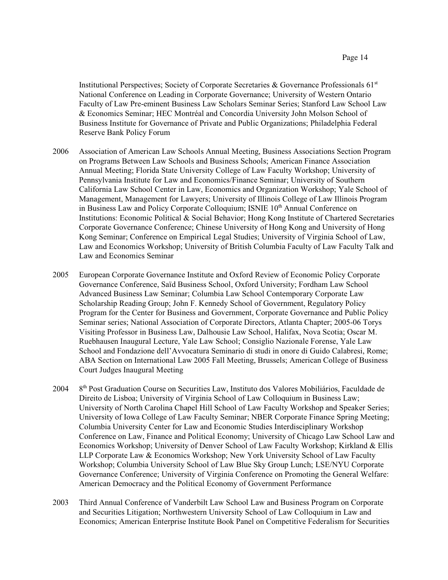Institutional Perspectives; Society of Corporate Secretaries & Governance Professionals  $61<sup>st</sup>$ National Conference on Leading in Corporate Governance; University of Western Ontario Faculty of Law Pre-eminent Business Law Scholars Seminar Series; Stanford Law School Law & Economics Seminar; HEC Montréal and Concordia University John Molson School of Business Institute for Governance of Private and Public Organizations; Philadelphia Federal Reserve Bank Policy Forum

- 2006 Association of American Law Schools Annual Meeting, Business Associations Section Program on Programs Between Law Schools and Business Schools; American Finance Association Annual Meeting; Florida State University College of Law Faculty Workshop; University of Pennsylvania Institute for Law and Economics/Finance Seminar; University of Southern California Law School Center in Law, Economics and Organization Workshop; Yale School of Management, Management for Lawyers; University of Illinois College of Law Illinois Program in Business Law and Policy Corporate Colloquium; ISNIE 10<sup>th</sup> Annual Conference on Institutions: Economic Political & Social Behavior; Hong Kong Institute of Chartered Secretaries Corporate Governance Conference; Chinese University of Hong Kong and University of Hong Kong Seminar; Conference on Empirical Legal Studies; University of Virginia School of Law, Law and Economics Workshop; University of British Columbia Faculty of Law Faculty Talk and Law and Economics Seminar
- 2005 European Corporate Governance Institute and Oxford Review of Economic Policy Corporate Governance Conference, Saïd Business School, Oxford University; Fordham Law School Advanced Business Law Seminar; Columbia Law School Contemporary Corporate Law Scholarship Reading Group; John F. Kennedy School of Government, Regulatory Policy Program for the Center for Business and Government, Corporate Governance and Public Policy Seminar series; National Association of Corporate Directors, Atlanta Chapter; 2005-06 Torys Visiting Professor in Business Law, Dalhousie Law School, Halifax, Nova Scotia; Oscar M. Ruebhausen Inaugural Lecture, Yale Law School; Consiglio Nazionale Forense, Yale Law School and Fondazione dell'Avvocatura Seminario di studi in onore di Guido Calabresi, Rome; ABA Section on International Law 2005 Fall Meeting, Brussels; American College of Business Court Judges Inaugural Meeting
- 2004 <sup>th</sup> Post Graduation Course on Securities Law, Instituto dos Valores Mobiliários, Faculdade de Direito de Lisboa; University of Virginia School of Law Colloquium in Business Law; University of North Carolina Chapel Hill School of Law Faculty Workshop and Speaker Series; University of Iowa College of Law Faculty Seminar; NBER Corporate Finance Spring Meeting; Columbia University Center for Law and Economic Studies Interdisciplinary Workshop Conference on Law, Finance and Political Economy; University of Chicago Law School Law and Economics Workshop; University of Denver School of Law Faculty Workshop; Kirkland & Ellis LLP Corporate Law & Economics Workshop; New York University School of Law Faculty Workshop; Columbia University School of Law Blue Sky Group Lunch; LSE/NYU Corporate Governance Conference; University of Virginia Conference on Promoting the General Welfare: American Democracy and the Political Economy of Government Performance
- 2003 Third Annual Conference of Vanderbilt Law School Law and Business Program on Corporate and Securities Litigation; Northwestern University School of Law Colloquium in Law and Economics; American Enterprise Institute Book Panel on Competitive Federalism for Securities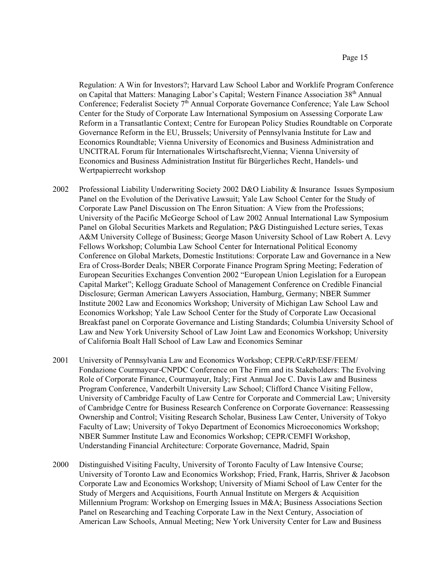Regulation: A Win for Investors?; Harvard Law School Labor and Worklife Program Conference on Capital that Matters: Managing Labor's Capital; Western Finance Association 38<sup>th</sup> Annual Conference; Federalist Society 7<sup>th</sup> Annual Corporate Governance Conference; Yale Law School Center for the Study of Corporate Law International Symposium on Assessing Corporate Law Reform in a Transatlantic Context; Centre for European Policy Studies Roundtable on Corporate Governance Reform in the EU, Brussels; University of Pennsylvania Institute for Law and Economics Roundtable; Vienna University of Economics and Business Administration and UNCITRAL Forum für Internationales Wirtschaftsrecht,Vienna; Vienna University of Economics and Business Administration Institut für Bürgerliches Recht, Handels- und Wertpapierrecht workshop

- 2002 Professional Liability Underwriting Society 2002 D&O Liability & Insurance Issues Symposium Panel on the Evolution of the Derivative Lawsuit; Yale Law School Center for the Study of Corporate Law Panel Discussion on The Enron Situation: A View from the Professions; University of the Pacific McGeorge School of Law 2002 Annual International Law Symposium Panel on Global Securities Markets and Regulation; P&G Distinguished Lecture series, Texas A&M University College of Business; George Mason University School of Law Robert A. Levy Fellows Workshop; Columbia Law School Center for International Political Economy Conference on Global Markets, Domestic Institutions: Corporate Law and Governance in a New Era of Cross-Border Deals; NBER Corporate Finance Program Spring Meeting; Federation of European Securities Exchanges Convention 2002 "European Union Legislation for a European Capital Market"; Kellogg Graduate School of Management Conference on Credible Financial Disclosure; German American Lawyers Association, Hamburg, Germany; NBER Summer Institute 2002 Law and Economics Workshop; University of Michigan Law School Law and Economics Workshop; Yale Law School Center for the Study of Corporate Law Occasional Breakfast panel on Corporate Governance and Listing Standards; Columbia University School of Law and New York University School of Law Joint Law and Economics Workshop; University of California Boalt Hall School of Law Law and Economics Seminar
- 2001 University of Pennsylvania Law and Economics Workshop; CEPR/CeRP/ESF/FEEM/ Fondazione Courmayeur-CNPDC Conference on The Firm and its Stakeholders: The Evolving Role of Corporate Finance, Courmayeur, Italy; First Annual Joe C. Davis Law and Business Program Conference, Vanderbilt University Law School; Clifford Chance Visiting Fellow, University of Cambridge Faculty of Law Centre for Corporate and Commercial Law; University of Cambridge Centre for Business Research Conference on Corporate Governance: Reassessing Ownership and Control; Visiting Research Scholar, Business Law Center, University of Tokyo Faculty of Law; University of Tokyo Department of Economics Microeconomics Workshop; NBER Summer Institute Law and Economics Workshop; CEPR/CEMFI Workshop, Understanding Financial Architecture: Corporate Governance, Madrid, Spain
- 2000 Distinguished Visiting Faculty, University of Toronto Faculty of Law Intensive Course; University of Toronto Law and Economics Workshop; Fried, Frank, Harris, Shriver & Jacobson Corporate Law and Economics Workshop; University of Miami School of Law Center for the Study of Mergers and Acquisitions, Fourth Annual Institute on Mergers & Acquisition Millennium Program: Workshop on Emerging Issues in M&A; Business Associations Section Panel on Researching and Teaching Corporate Law in the Next Century, Association of American Law Schools, Annual Meeting; New York University Center for Law and Business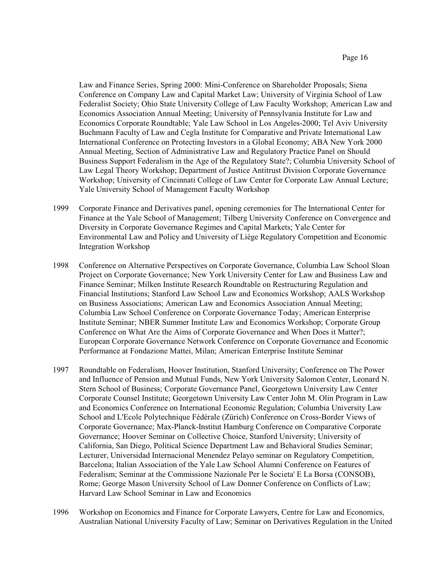Law and Finance Series, Spring 2000: Mini-Conference on Shareholder Proposals; Siena Conference on Company Law and Capital Market Law; University of Virginia School of Law Federalist Society; Ohio State University College of Law Faculty Workshop; American Law and Economics Association Annual Meeting; University of Pennsylvania Institute for Law and Economics Corporate Roundtable; Yale Law School in Los Angeles-2000; Tel Aviv University Buchmann Faculty of Law and Cegla Institute for Comparative and Private International Law International Conference on Protecting Investors in a Global Economy; ABA New York 2000 Annual Meeting, Section of Administrative Law and Regulatory Practice Panel on Should Business Support Federalism in the Age of the Regulatory State?; Columbia University School of Law Legal Theory Workshop; Department of Justice Antitrust Division Corporate Governance Workshop; University of Cincinnati College of Law Center for Corporate Law Annual Lecture; Yale University School of Management Faculty Workshop

- 1999 Corporate Finance and Derivatives panel, opening ceremonies for The International Center for Finance at the Yale School of Management; Tilberg University Conference on Convergence and Diversity in Corporate Governance Regimes and Capital Markets; Yale Center for Environmental Law and Policy and University of Liège Regulatory Competition and Economic Integration Workshop
- 1998 Conference on Alternative Perspectives on Corporate Governance, Columbia Law School Sloan Project on Corporate Governance; New York University Center for Law and Business Law and Finance Seminar; Milken Institute Research Roundtable on Restructuring Regulation and Financial Institutions; Stanford Law School Law and Economics Workshop; AALS Workshop on Business Associations; American Law and Economics Association Annual Meeting; Columbia Law School Conference on Corporate Governance Today; American Enterprise Institute Seminar; NBER Summer Institute Law and Economics Workshop; Corporate Group Conference on What Are the Aims of Corporate Governance and When Does it Matter?; European Corporate Governance Network Conference on Corporate Governance and Economic Performance at Fondazione Mattei, Milan; American Enterprise Institute Seminar
- 1997 Roundtable on Federalism, Hoover Institution, Stanford University; Conference on The Power and Influence of Pension and Mutual Funds, New York University Salomon Center, Leonard N. Stern School of Business; Corporate Governance Panel, Georgetown University Law Center Corporate Counsel Institute; Georgetown University Law Center John M. Olin Program in Law and Economics Conference on International Economic Regulation; Columbia University Law School and L'Ecole Polytechnique Fédérale (Zürich) Conference on Cross-Border Views of Corporate Governance; Max-Planck-Institut Hamburg Conference on Comparative Corporate Governance; Hoover Seminar on Collective Choice, Stanford University; University of California, San Diego, Political Science Department Law and Behavioral Studies Seminar; Lecturer, Universidad Internacional Menendez Pelayo seminar on Regulatory Competition, Barcelona; Italian Association of the Yale Law School Alumni Conference on Features of Federalism; Seminar at the Commissione Nazionale Per le Societa' E La Borsa (CONSOB), Rome; George Mason University School of Law Donner Conference on Conflicts of Law; Harvard Law School Seminar in Law and Economics
- 1996 Workshop on Economics and Finance for Corporate Lawyers, Centre for Law and Economics, Australian National University Faculty of Law; Seminar on Derivatives Regulation in the United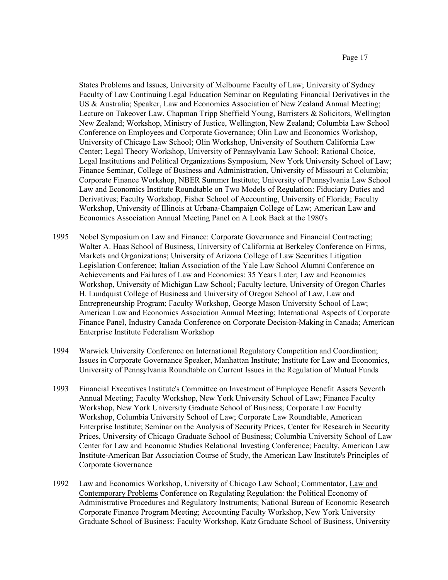States Problems and Issues, University of Melbourne Faculty of Law; University of Sydney Faculty of Law Continuing Legal Education Seminar on Regulating Financial Derivatives in the US & Australia; Speaker, Law and Economics Association of New Zealand Annual Meeting; Lecture on Takeover Law, Chapman Tripp Sheffield Young, Barristers & Solicitors, Wellington New Zealand; Workshop, Ministry of Justice, Wellington, New Zealand; Columbia Law School Conference on Employees and Corporate Governance; Olin Law and Economics Workshop, University of Chicago Law School; Olin Workshop, University of Southern California Law Center; Legal Theory Workshop, University of Pennsylvania Law School; Rational Choice, Legal Institutions and Political Organizations Symposium, New York University School of Law; Finance Seminar, College of Business and Administration, University of Missouri at Columbia; Corporate Finance Workshop, NBER Summer Institute; University of Pennsylvania Law School Law and Economics Institute Roundtable on Two Models of Regulation: Fiduciary Duties and Derivatives; Faculty Workshop, Fisher School of Accounting, University of Florida; Faculty Workshop, University of Illinois at Urbana-Champaign College of Law; American Law and Economics Association Annual Meeting Panel on A Look Back at the 1980's

- 1995 Nobel Symposium on Law and Finance: Corporate Governance and Financial Contracting; Walter A. Haas School of Business, University of California at Berkeley Conference on Firms, Markets and Organizations; University of Arizona College of Law Securities Litigation Legislation Conference; Italian Association of the Yale Law School Alumni Conference on Achievements and Failures of Law and Economics: 35 Years Later; Law and Economics Workshop, University of Michigan Law School; Faculty lecture, University of Oregon Charles H. Lundquist College of Business and University of Oregon School of Law, Law and Entrepreneurship Program; Faculty Workshop, George Mason University School of Law; American Law and Economics Association Annual Meeting; International Aspects of Corporate Finance Panel, Industry Canada Conference on Corporate Decision-Making in Canada; American Enterprise Institute Federalism Workshop
- 1994 Warwick University Conference on International Regulatory Competition and Coordination; Issues in Corporate Governance Speaker, Manhattan Institute; Institute for Law and Economics, University of Pennsylvania Roundtable on Current Issues in the Regulation of Mutual Funds
- 1993 Financial Executives Institute's Committee on Investment of Employee Benefit Assets Seventh Annual Meeting; Faculty Workshop, New York University School of Law; Finance Faculty Workshop, New York University Graduate School of Business; Corporate Law Faculty Workshop, Columbia University School of Law; Corporate Law Roundtable, American Enterprise Institute; Seminar on the Analysis of Security Prices, Center for Research in Security Prices, University of Chicago Graduate School of Business; Columbia University School of Law Center for Law and Economic Studies Relational Investing Conference; Faculty, American Law Institute-American Bar Association Course of Study, the American Law Institute's Principles of Corporate Governance
- 1992 Law and Economics Workshop, University of Chicago Law School; Commentator, Law and Contemporary Problems Conference on Regulating Regulation: the Political Economy of Administrative Procedures and Regulatory Instruments; National Bureau of Economic Research Corporate Finance Program Meeting; Accounting Faculty Workshop, New York University Graduate School of Business; Faculty Workshop, Katz Graduate School of Business, University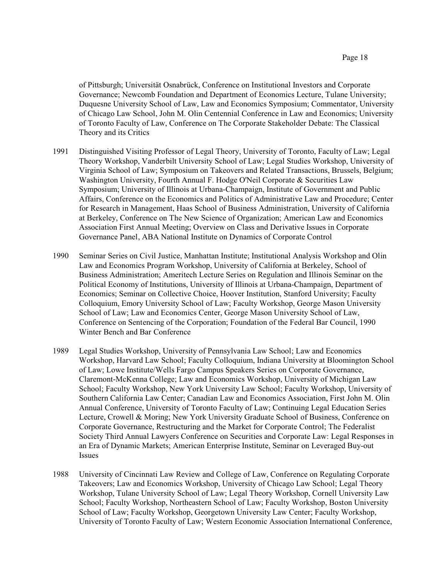of Pittsburgh; Universität Osnabrück, Conference on Institutional Investors and Corporate Governance; Newcomb Foundation and Department of Economics Lecture, Tulane University; Duquesne University School of Law, Law and Economics Symposium; Commentator, University of Chicago Law School, John M. Olin Centennial Conference in Law and Economics; University of Toronto Faculty of Law, Conference on The Corporate Stakeholder Debate: The Classical Theory and its Critics

- 1991 Distinguished Visiting Professor of Legal Theory, University of Toronto, Faculty of Law; Legal Theory Workshop, Vanderbilt University School of Law; Legal Studies Workshop, University of Virginia School of Law; Symposium on Takeovers and Related Transactions, Brussels, Belgium; Washington University, Fourth Annual F. Hodge O'Neil Corporate & Securities Law Symposium; University of Illinois at Urbana-Champaign, Institute of Government and Public Affairs, Conference on the Economics and Politics of Administrative Law and Procedure; Center for Research in Management, Haas School of Business Administration, University of California at Berkeley, Conference on The New Science of Organization; American Law and Economics Association First Annual Meeting; Overview on Class and Derivative Issues in Corporate Governance Panel, ABA National Institute on Dynamics of Corporate Control
- 1990 Seminar Series on Civil Justice, Manhattan Institute; Institutional Analysis Workshop and Olin Law and Economics Program Workshop, University of California at Berkeley, School of Business Administration; Ameritech Lecture Series on Regulation and Illinois Seminar on the Political Economy of Institutions, University of Illinois at Urbana-Champaign, Department of Economics; Seminar on Collective Choice, Hoover Institution, Stanford University; Faculty Colloquium, Emory University School of Law; Faculty Workshop, George Mason University School of Law; Law and Economics Center, George Mason University School of Law, Conference on Sentencing of the Corporation; Foundation of the Federal Bar Council, 1990 Winter Bench and Bar Conference
- 1989 Legal Studies Workshop, University of Pennsylvania Law School; Law and Economics Workshop, Harvard Law School; Faculty Colloquium, Indiana University at Bloomington School of Law; Lowe Institute/Wells Fargo Campus Speakers Series on Corporate Governance, Claremont-McKenna College; Law and Economics Workshop, University of Michigan Law School; Faculty Workshop, New York University Law School; Faculty Workshop, University of Southern California Law Center; Canadian Law and Economics Association, First John M. Olin Annual Conference, University of Toronto Faculty of Law; Continuing Legal Education Series Lecture, Crowell & Moring; New York University Graduate School of Business, Conference on Corporate Governance, Restructuring and the Market for Corporate Control; The Federalist Society Third Annual Lawyers Conference on Securities and Corporate Law: Legal Responses in an Era of Dynamic Markets; American Enterprise Institute, Seminar on Leveraged Buy-out Issues
- 1988 University of Cincinnati Law Review and College of Law, Conference on Regulating Corporate Takeovers; Law and Economics Workshop, University of Chicago Law School; Legal Theory Workshop, Tulane University School of Law; Legal Theory Workshop, Cornell University Law School; Faculty Workshop, Northeastern School of Law; Faculty Workshop, Boston University School of Law; Faculty Workshop, Georgetown University Law Center; Faculty Workshop, University of Toronto Faculty of Law; Western Economic Association International Conference,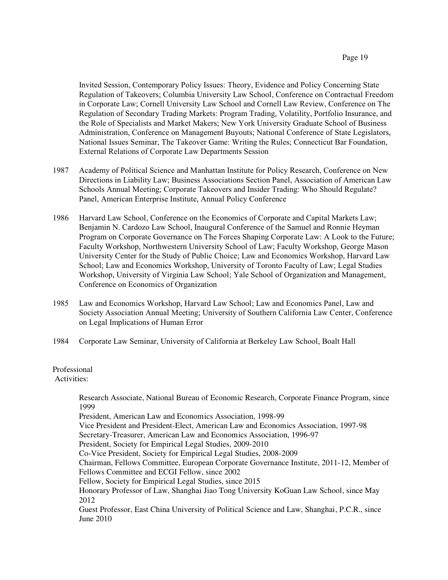Invited Session, Contemporary Policy Issues: Theory, Evidence and Policy Concerning State Regulation of Takeovers; Columbia University Law School, Conference on Contractual Freedom in Corporate Law; Cornell University Law School and Cornell Law Review, Conference on The Regulation of Secondary Trading Markets: Program Trading, Volatility, Portfolio Insurance, and the Role of Specialists and Market Makers; New York University Graduate School of Business Administration, Conference on Management Buyouts; National Conference of State Legislators, National Issues Seminar, The Takeover Game: Writing the Rules; Connecticut Bar Foundation, External Relations of Corporate Law Departments Session

- 1987 Academy of Political Science and Manhattan Institute for Policy Research, Conference on New Directions in Liability Law; Business Associations Section Panel, Association of American Law Schools Annual Meeting; Corporate Takeovers and Insider Trading: Who Should Regulate? Panel, American Enterprise Institute, Annual Policy Conference
- 1986 Harvard Law School, Conference on the Economics of Corporate and Capital Markets Law; Benjamin N. Cardozo Law School, Inaugural Conference of the Samuel and Ronnie Heyman Program on Corporate Governance on The Forces Shaping Corporate Law: A Look to the Future; Faculty Workshop, Northwestern University School of Law; Faculty Workshop, George Mason University Center for the Study of Public Choice; Law and Economics Workshop, Harvard Law School; Law and Economics Workshop, University of Toronto Faculty of Law; Legal Studies Workshop, University of Virginia Law School; Yale School of Organization and Management, Conference on Economics of Organization
- 1985 Law and Economics Workshop, Harvard Law School; Law and Economics Panel, Law and Society Association Annual Meeting; University of Southern California Law Center, Conference on Legal Implications of Human Error
- 1984 Corporate Law Seminar, University of California at Berkeley Law School, Boalt Hall

### Professional

Activities:

Research Associate, National Bureau of Economic Research, Corporate Finance Program, since 1999

President, American Law and Economics Association, 1998-99

Vice President and President-Elect, American Law and Economics Association, 1997-98

Secretary-Treasurer, American Law and Economics Association, 1996-97

President, Society for Empirical Legal Studies, 2009-2010

Co-Vice President, Society for Empirical Legal Studies, 2008-2009

Chairman, Fellows Committee, European Corporate Governance Institute, 2011-12, Member of Fellows Committee and ECGI Fellow, since 2002

Fellow, Society for Empirical Legal Studies, since 2015

Honorary Professor of Law, Shanghai Jiao Tong University KoGuan Law School, since May 2012

Guest Professor, East China University of Political Science and Law, Shanghai, P.C.R., since June 2010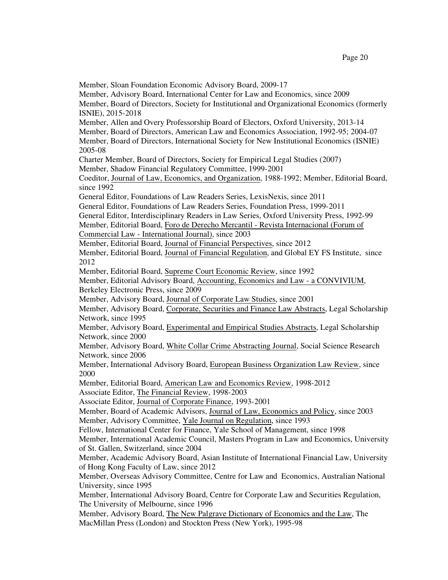Member, Sloan Foundation Economic Advisory Board, 2009-17 Member, Advisory Board, International Center for Law and Economics, since 2009 Member, Board of Directors, Society for Institutional and Organizational Economics (formerly ISNIE), 2015-2018 Member, Allen and Overy Professorship Board of Electors, Oxford University, 2013-14 Member, Board of Directors, American Law and Economics Association, 1992-95; 2004-07 Member, Board of Directors, International Society for New Institutional Economics (ISNIE) 2005-08 Charter Member, Board of Directors, Society for Empirical Legal Studies (2007) Member, Shadow Financial Regulatory Committee, 1999-2001 Coeditor, Journal of Law, Economics, and Organization, 1988-1992; Member, Editorial Board, since 1992 General Editor, Foundations of Law Readers Series, LexisNexis, since 2011 General Editor, Foundations of Law Readers Series, Foundation Press, 1999-2011 General Editor, Interdisciplinary Readers in Law Series, Oxford University Press, 1992-99 Member, Editorial Board, Foro de Derecho Mercantil - Revista Internacional (Forum of Commercial Law - International Journal), since 2003 Member, Editorial Board, Journal of Financial Perspectives, since 2012 Member, Editorial Board, Journal of Financial Regulation, and Global EY FS Institute, since 2012 Member, Editorial Board, Supreme Court Economic Review, since 1992 Member, Editorial Advisory Board, Accounting, Economics and Law - a CONVIVIUM, Berkeley Electronic Press, since 2009 Member, Advisory Board, Journal of Corporate Law Studies, since 2001 Member, Advisory Board, Corporate, Securities and Finance Law Abstracts, Legal Scholarship Network, since 1995 Member, Advisory Board, Experimental and Empirical Studies Abstracts, Legal Scholarship Network, since 2000 Member, Advisory Board, White Collar Crime Abstracting Journal, Social Science Research Network, since 2006 Member, International Advisory Board, European Business Organization Law Review, since 2000 Member, Editorial Board, American Law and Economics Review, 1998-2012 Associate Editor, The Financial Review, 1998-2003 Associate Editor, Journal of Corporate Finance, 1993-2001 Member, Board of Academic Advisors, Journal of Law, Economics and Policy, since 2003 Member, Advisory Committee, Yale Journal on Regulation, since 1993 Fellow, International Center for Finance, Yale School of Management, since 1998 Member, International Academic Council, Masters Program in Law and Economics, University of St. Gallen, Switzerland, since 2004 Member, Academic Advisory Board, Asian Institute of International Financial Law, University of Hong Kong Faculty of Law, since 2012 Member, Overseas Advisory Committee, Centre for Law and Economics, Australian National University, since 1995 Member, International Advisory Board, Centre for Corporate Law and Securities Regulation, The University of Melbourne, since 1996 Member, Advisory Board, The New Palgrave Dictionary of Economics and the Law, The MacMillan Press (London) and Stockton Press (New York), 1995-98